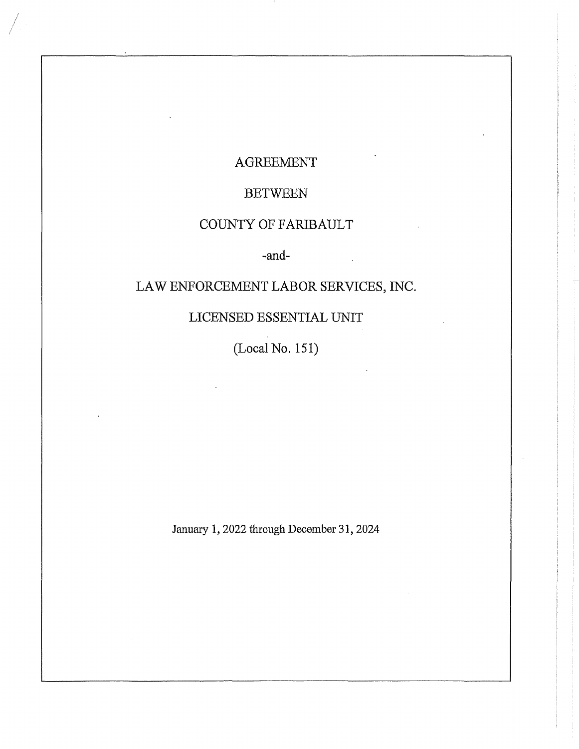## AGREEMENT

# **BETWEEN**

# COUNTY OF FARIBAULT

## -and-

 $\mathbb{Z}$ 

# LAW ENFORCEMENT LABOR SERVICES, INC.

# LICENSED ESSENTIAL UNIT

(Local No. 151)

January 1, 2022 through December 31, 2024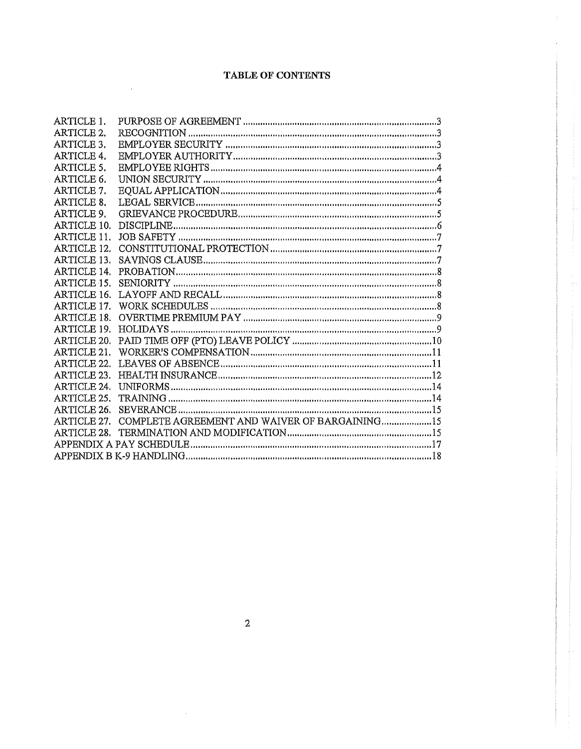## TABLE OF CONTENTS

 $\bar{\mathbf{r}}$ 

| <b>ARTICLE 1.</b>  |                                               |  |
|--------------------|-----------------------------------------------|--|
| <b>ARTICLE 2.</b>  |                                               |  |
| ARTICLE 3.         |                                               |  |
| <b>ARTICLE 4.</b>  |                                               |  |
| ARTICLE 5.         |                                               |  |
| ARTICLE 6.         |                                               |  |
| ARTICLE 7.         |                                               |  |
| <b>ARTICLE 8.</b>  |                                               |  |
| ARTICLE 9.         |                                               |  |
| ARTICLE 10.        |                                               |  |
| ARTICLE 11.        |                                               |  |
| ARTICLE 12.        |                                               |  |
| ARTICLE 13.        |                                               |  |
| <b>ARTICLE 14.</b> |                                               |  |
| ARTICLE 15.        |                                               |  |
| <b>ARTICLE 16.</b> |                                               |  |
| <b>ARTICLE 17.</b> |                                               |  |
| <b>ARTICLE 18.</b> |                                               |  |
| ARTICLE 19.        |                                               |  |
| ARTICLE 20.        |                                               |  |
| ARTICLE 21.        |                                               |  |
| ARTICLE 22.        |                                               |  |
| ARTICLE 23.        |                                               |  |
| <b>ARTICLE 24.</b> |                                               |  |
| ARTICLE 25.        |                                               |  |
| ARTICLE 26.        |                                               |  |
| ARTICLE 27.        | COMPLETE AGREEMENT AND WAIVER OF BARGAINING15 |  |
|                    |                                               |  |
|                    |                                               |  |
|                    |                                               |  |

 $\bar{\phantom{a}}$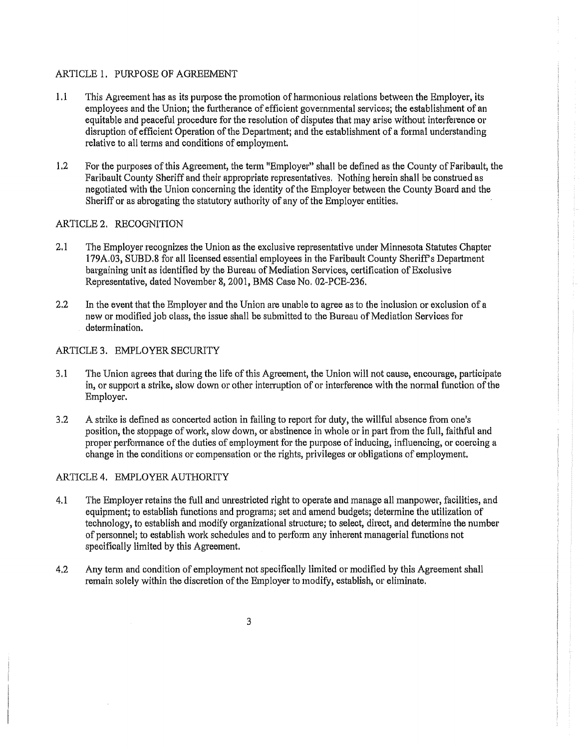### ARTICLE 1. PURPOSE OF AGREEMENT

- 1.1 This Agreement has as its purpose the promotion of harmonious relations between the Employer, its employees and the Union; the furtherance of efficient governmental services; the establishment of an equitable and peaceful procedure for the resolution of disputes that may arise without interference 01· disruption of efficient Operation of the Department; and the establishment of a formal understanding relative to all terms and conditions of employment.
- 1.2 For the purposes of this Agreement, the term "Employer" shall be defined as the County of Faribault, the Faribault County Sheriff and their appropriate representatives. Nothing herein shall be construed as negotiated with the Union concerning the identity of the Employer between the County Board and the Sheriff or as abrogating the statutory authority of any of the Employer entities.

#### ARTICLE 2. RECOGNITION

- 2.1 The Employer recognizes the Union as the exclusive representative under Minnesota Statutes Chapter 179A.03, SUBD.8 for all licensed essential employees in the Faribault County Sheriffs Department bargaining unit as identified by the Bureau of Mediation Services, certification of Exclusive Representative, dated November 8, 2001, BMS Case No. 02-PCE-236.
- 2.2 In the event that the Employer and the Union are unable to agree as to the inclusion or exclusion of a new or modified job class, the issue shall be submitted to the Bureau of Mediation Services for determination.

#### ARTICLE 3. EMPLOYER SECURITY

- 3.1 The Union agrees that during the life of this Agreement, the Union will not cause, encourage, participate in, or support a strike, slow down or other interruption of or interference with the normal function of the Employer.
- 3.2 A strike is defined as concerted action in failing to report for duty, the willful absence from one's position, the stoppage of work, slow down, or abstinence in whole or in part from the full, faithful and proper performance of the duties of employment for the purpose of inducing, influencing, or coercing a change in the conditions or compensation or the rights, privileges or obligations of employment.

#### ARTICLE 4. EMPLOYER AUTHORITY

- 4.1 The Employer retains the full and unrestricted right to operate and manage all manpower, facilities, and equipment; to establish functions and programs; set and amend budgets; determine the utilization of technology, to establish and modify organizational structure; to select, direct, and determine the number of personnel; to establish work schedules and to perform any inherent managerial functions not specifically limited by this Agreement.
- 4.2 Any term and condition of employment not specifically limited or modified by this Agreement shall remain solely within the discretion of the Employer to modify, establish, or eliminate.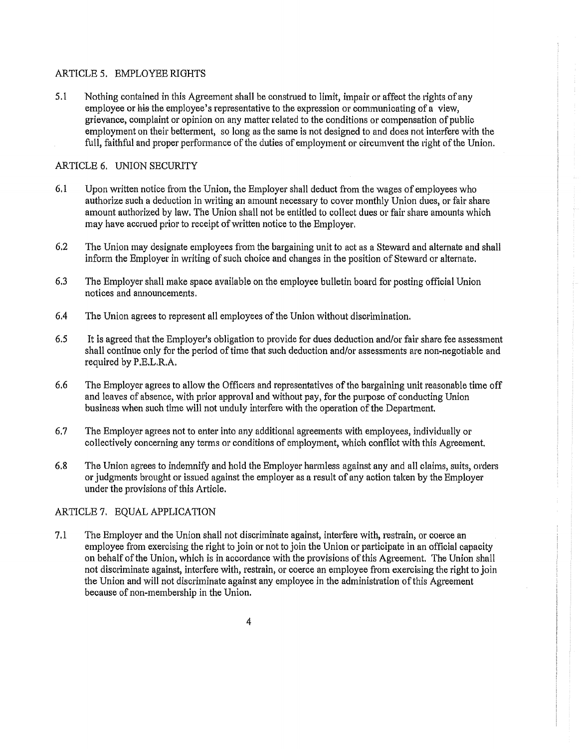### ARTICLE 5. EMPLOYEE RIGHTS

5.1 Nothing contained in this Agreement shall be construed to limit, impair or affect the rights of any employee or his the employee's representative to the expression or communicating of a view, grievance, complaint or opinion on any matter related to the conditions or compensation of public employment on their betterment, so long as the same is not designed to and does not interfere with the full, faithful and proper performance of the duties of employment or circumvent the right of the Union.

### ARTICLE 6. UNION SECURITY

- 6.1 Upon written notice from the Union, the Employer shall deduct from the wages of employees who authorize such a deduction in writing an amount necessary to cover monthly Union dues, or fair share amount authorized by law. The Union shall not be entitled to collect dues or fair share amounts which may have accrued prior to receipt of written notice to the Employer.
- 6.2 The Union may designate employees from the bargaining unit to act as a Steward and alternate and shall inform the Employer in writing of such choice and changes in the position of Steward or alternate.
- 6.3 The Employer shall make space available on the employee bulletin board for posting official Union notices and announcements.
- 6.4 The Union agrees to represent all employees of the Union without discrimination.
- 6.5 It is agreed that the Employer's obligation to provide for dues deduction and/or fair share fee assessment shall continue only for the period of time that such deduction and/or assessments are non-negotiable and required by P.E.L.R.A.
- 6.6 The Employer agrees to allow the Officers and representatives of the bargaining unit reasonable time off and leaves of absence, with prior approval and without pay, for the purpose of conducting Union business when such time will not unduly interfere with the operation of the Department.
- 6.7 The Employer agrees not to enter into any additional agreements with employees, individually or collectively concerning any terms or conditions of employment, which conflict with this Agreement.
- 6.8 The Union agrees to indemnify and hold the Employer harmless against any and all claims, suits, orders or judgments brought or issued against the employer as a result of any action taken by the Employer under the provisions of this Article.

### ARTICLE 7. EQUAL APPLICATION

7.1 The Employer and the Union shall not discriminate against, interfere with, restrain, or coerce an employee from exercising the right to join or not to join the Union or participate in an official capacity on behalf of the Union, which is in accordance with the provisions of this Agreement. The Union shall not discriminate against, interfere with, restrain, or coerce an employee from exercising the right to join the Union and will not discriminate against any employee in the administration of this Agreement because of non-membership in the Union.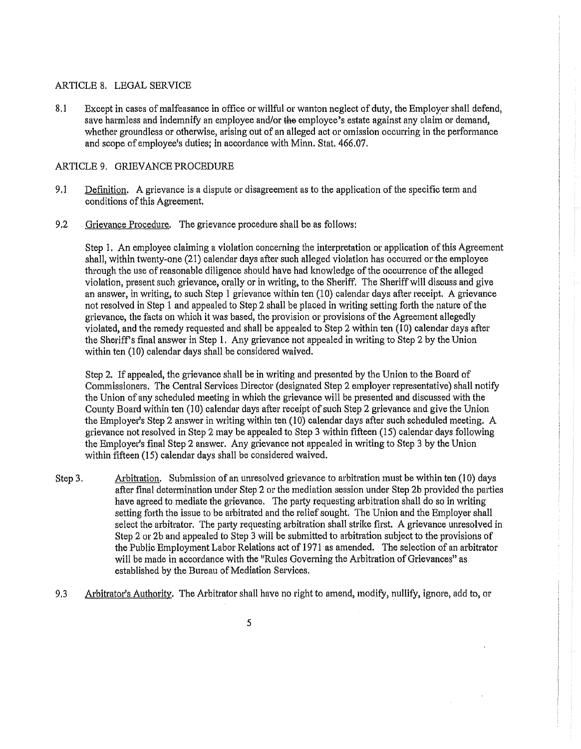#### ARTICLE 8. LEGAL SERVICE

8.1 Except in cases of malfeasance in office or willful or wanton neglect of duty, the Employer shall defend, save harmless and indemnify an employee and/or the employee's estate against any claim or demand, whether groundless or otherwise, arising out of an alleged act or omission occurring in the performance and scope of employee's duties; in accordance with Minn. Stat. 466.07.

#### ARTICLE 9, GRIEVANCE PROCEDURE

- 9.1 Definition. A grievance is a dispute or disagreement as to the application of the specific term and conditions of this Agreement.
- 9.2 Grievance Procedure, The grievance procedure shall be as follows:

Step 1. An employee claiming a violation concerning the interpretation or application of this Agreement shall, within twenty-one (21) calendar days after such alleged violation has occurred or the employee through the use of reasonable diligence should have had knowledge of the occurrence of the alleged violation, present such grievance, orally or in writing, to the Sheriff. The Sheriff will discuss and give an answer, in writing, to such Step 1 grievance within ten  $(10)$  calendar days after receipt. A grievance not resolved in Step 1 and appealed to Step 2 shall be placed in writing setting forth the nature of the grievance, the facts on which it was based, the provision or provisions of the Agreement allegedly violated, and the remedy requested and shall be appealed to Step 2 within ten  $(10)$  calendar days after the Sheriff's final answer in Step 1, Any grievance not appealed in writing to Step 2 by the Union within ten (10) calendar days shall be considered waived.

Step 2. If appealed, the grievance shall be in writing and presented by the Union to the Board of Commissioners. The Central Services Director (designated Step 2 employer representative) shall notify the Union of any scheduled meeting in which the grievance will be presented and discussed with the County Board within ten (10) calendar days after receipt of such Step 2 grievance and give the Union the Employer's Step 2 answer in writing within ten (10) calendar days after such scheduled meeting. A grievance not resolved in Step 2 may be appealed to Step 3 within fifteen (15) calendar days following the Employer's final Step 2 answer. Any grievance not appealed in writing to Step 3 by the Union within fifteen (15) calendar days shall be considered waived.

- Step 3. Arbitration. Submission of an umesolved grievance to arbitration must be within ten (10) days after final determination under Step 2 or the mediation session under Step 2b provided the parties have agreed to mediate the grievance. The party requesting arbitration shall do so in writing setting forth the issue to be arbitrated and the relief sought. The Union and the Employer shall select the arbitrator. The party requesting arbitration shall strike first. A grievance unresolved in Step 2 or 2b and appealed to Step 3 will be submitted to arbitration subject to the provisions of the Public Employment Labor Relations act of 1971 as amended. The selection of an arbitrator will be made in accordance with the "Rules Governing the Arbitration of Grievances" as established by the Bureau of Mediation Services.
- 9.3 Arbitrator's Authority. The Arbitrator shall have no right to amend, modify, nullify, ignore, add to, or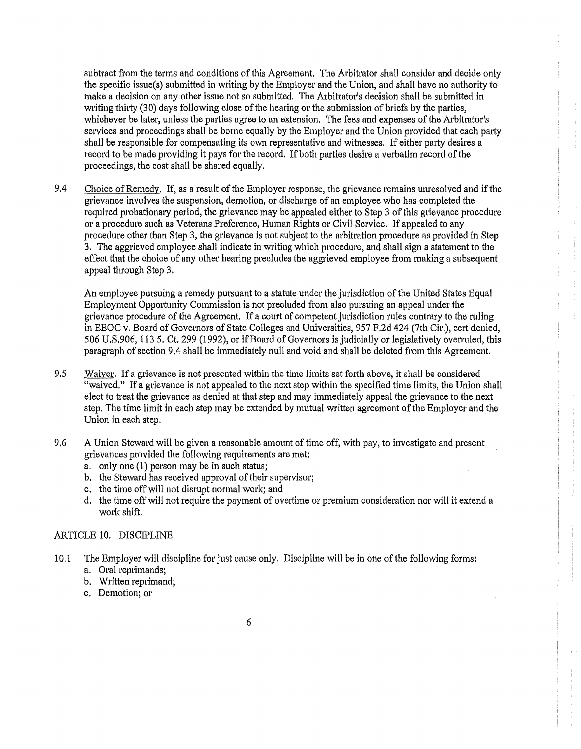subtract from the terms and conditions of this Agreement. The Arbitrator shall consider and decide only the specific issue(s) submitted in writing by the Employer and the Union, and shall have no authority to make a decision on any other issue not so submitted. The Arbitrator's decision shall be submitted in writing thirty (30) days following close of the hearing or the submission of briefs by the parties, whichever be later, unless the parties agree to an extension. The fees and expenses of the Arbitrator's services and proceedings shall be borne equally by the Employer and the Union provided that each party shall be responsible for compensating its own representative and witnesses. If either party desires a record to be made providing it pays for the record. If both parties desire a verbatim record of the proceedings, the cost shall be shared equally.

9.4 Choice of Remedy. If, as a result of the Employer response, the grievance remains unresolved and if the grievance involves the suspension, demotion, or discharge of an employee who has completed the required probationary period, the grievance may be appealed either to Step 3 of this grievance procedure or a procedure such as Veterans Preference, Human Rights or Civil Service. If appealed to any procedure other than Step 3, the grievance is not subject to the arbitration procedure as provided in Step 3. The aggrieved employee shall indicate in writing which procedure, and shall sign a statement to the effect that the choice of any other hearing precludes the aggrieved employee from making a subsequent appeal through Step 3,

An employee pursuing a remedy pursuant to a statute under the jurisdiction of the United States Equal Employment Opportunity Commission is not precluded from also pursuing an appeal under the grievance procedure of the Agreement. If a court of competent jurisdiction rules contrary to the ruling in EEOC v. Board of Governors of State Colleges and Universities, 957 F,2d 424 (7th Cir,), cert denied, 506 U.S.906, 113 5, Ct. 299 (1992), or if Board of Governors is judicially or legislatively overruled, this paragraph of section 9.4 shall be immediately null and void and shall be deleted from this Agreement.

- 9.5 Waiver. If a grievance is not presented within the time limits set forth above, it shall be considered "waived." If a grievance is not appealed to the next step within the specified time limits, the Union shall elect to treat the grievance as denied at that step and may immediately appeal the grievance to the next step. The time limit in each step may be extended by mutual written agreement of the Employer and the Union in each·step.
- 9.6 A Union Steward will be given a reasonable amount of time off, with pay, to investigate and present grievances provided the following requirements are met:
	- a. only one (1) person may be in such status;
	- b. the Steward has received approval of their supervisor;
	- c. the time off will not disrupt normal work; and
	- d. the time off will not require the payment of overtime or premium consideration nor will it extend a work shift.

#### ARTICLE 10. DISCIPLINE

- 10.1 The Employer will discipline for just cause only. Discipline will be in one of the following forms: a. Oral reprimands;
	- b. Written reprimand;
	- c. Demotion; or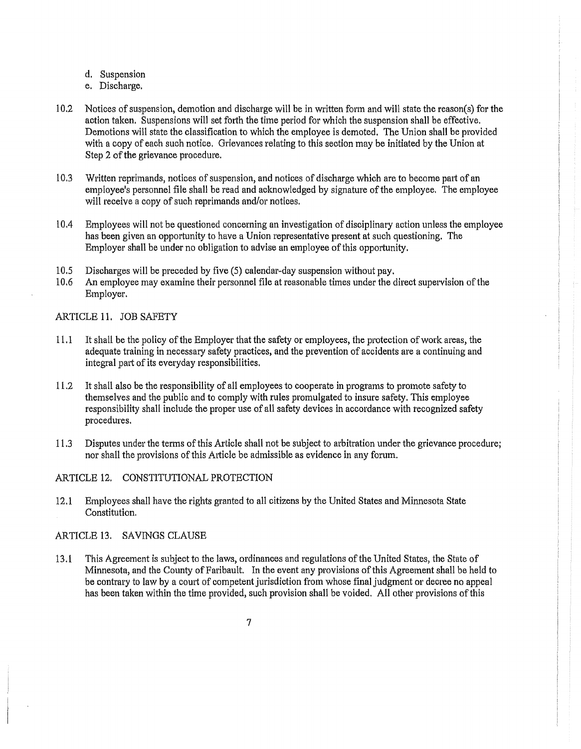- d. Suspension
- e. Discharge.
- 10.2 Notices of suspension, demotion and discharge will be in written form and will state the reason(s) for the action taken. Suspensions will set forth the time period for which the suspension shall be effective. Demotions will state the classification to which the employee is demoted. The Union shall be provided with a copy of each such notice. Grievances relating to this section may be initiated by the Union at Step 2 of the grievance procedure.
- 10.3 Wl'itten reprimands, notices of suspension, and notices of discharge which are to become part of an employee's personnel file shall be read and acknowledged by signature of the employee. The employee will receive a copy of such reprimands and/or notices.
- 10.4 Employees will not be questioned concerning an investigation of disciplinary action unless the employee has been given an opportunity to have a Union representative present at such questioning. The Employer shall be under no obligation to advise an employee of this opportunity.
- 10.5 Discharges will be preceded by five (5) calendar~day suspension without pay.
- 10.6 An employee may examine their personnel file at reasonable times under the direct supervision of the Employer.

#### ARTICLE 11. JOB SAFETY

- 11.1 It shall be the policy of the Employer that the safety or employees, the protection of work areas, the adequate training in necessary safety practices, and the prevention of accidents are a continuing and integral part of its everyday responsibilities.
- 11.2 It shall also be the responsibility of all employees to cooperate in programs to promote safety to themselves and the public and to comply with rules promulgated to insure safety. This employee responsibility shall include the proper use of all safety devices in accordance with recognized safety procedures.
- 11.3 Disputes under the terms of this Article shall not be subject to arbitration under the grievance procedure; nor shall the provisions of this Article be admissible as evidence in any forum.

### ARTICLE 12. CONSTITUTIONAL PROTECTION

12.1 Employees shall have the rights granted to all citizens by the United States and Minnesota State Constitution.

#### ARTICLE 13. SAVINGS CLAUSE

13 .1 This Agreement is subject to the laws, ordinances and regulations of the United States, the State of Minnesota, and the County of Faribault. In the event any provisions of this Agreement shall be held to be contrary to law by a court of competent jurisdiction from whose final judgment or decree no appeal has been taken within the time provided, such provision shall be voided. All other provisions of this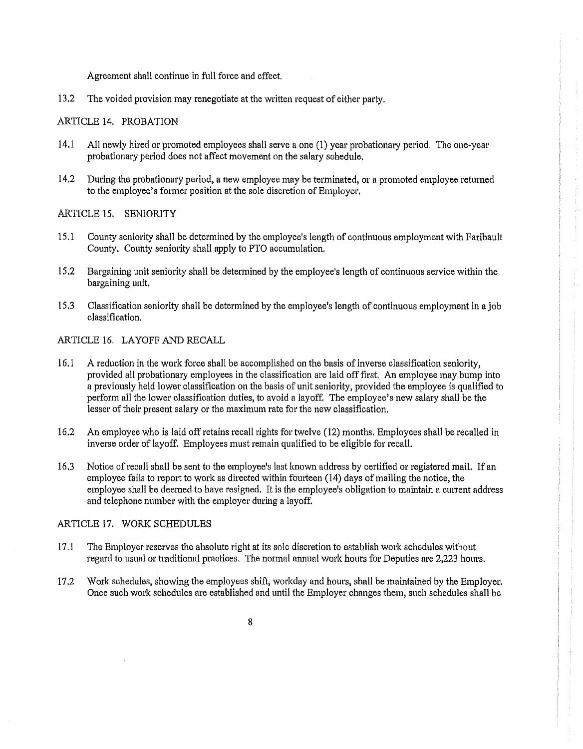Agreement shall continue in full force and effect.

13.2 The voided provision may renegotiate at the written request of either party.

#### ARTICLE 14. PROBATION

- 14.1 All newly hired or promoted employees shall serve a one (1) year probationary period, The one-year probationary period does not affect movement on the salary schedule.
- 14.2 During the probationary period, a new employee may be terminated, or a promoted employee returned to the employee's former position at the sole discretion of Employer,

#### ARTICLE 15, SENIORITY

- 15 .1 County seniority shall be determined by the employee's length of continuous employment with Faribault County, County seniority shall apply to PTO accumulation.
- 15 .2 Bargaining unit seniority shall be determined by the employee's length of continuous service within the bargaining unit.
- 15.3 Classification seniority shall be determined by the employee's length of continuous employment in ajob classification.

#### ARTICLE 16. LAYOFF AND RECALL

- 16.1 A reduction in the work force shall be accomplished on the basis of inverse classification seniority, provided all probationary employees in the classification are laid off first. An employee may bump into a previously held lower classification on the basis of unit seniority, provided the employee is qualified to perform all the lower classification duties, to avoid a layoff, The employee's new salary shall be the lesser of their present salary or the maximum rate for the new classification.
- 16.2 An employee who is laid off retains recall rights for twelve (12) months. Employees shall be recalled in inverse order of layoff. Employees must remain qualified to be eligible for recall.
- 16.3 Notice of recall shall be sent to the employee's last known address by certified or registered mail. If an employee fails to report to work as directed within fourteen (14) days of mailing the notice, the employee shall be deemed to have resigned. It is the employee's obligation to maintain a current address and telephone number with the employer during a layoff.

#### ARTICLE 17. WORK SCHEDULES

- 17.1 The Employer reserves the absolute right at its sole discretion to establish work schedules without regard to usual or traditional practices. The normal annual work hours for Deputies are 2,223 hours.
- 17.2 Work schedules, showing the employees shift, workday and hours, shall be maintained by the Employer. Once such work schedules are established and until the Employer changes them, such schedules shall be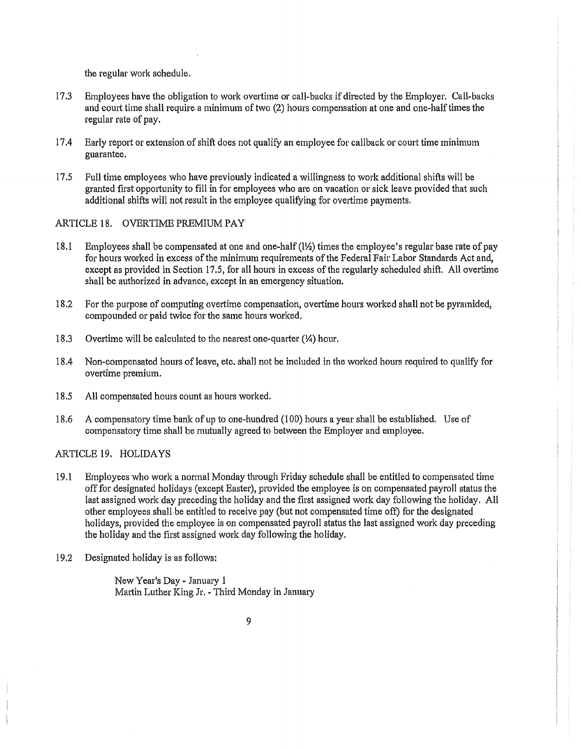the regular work schedule.

- 17.3 Employees have the obligation to work overtime or call-backs if directed by the Employer. Call-backs and court time shall require a minimum of two (2) hours compensation at one and one-halftimes the regular rate of pay.
- 17.4 Early report or extension of shift does not qualify an employee for callback 01· court time minimum guarantee.
- 17 .5 Full time employees who have previously indicated a willingness to work additional shifts will be granted first opportunity to fill in for employees who are on vacation or sick leave provided that such additional shifts will not result in the employee qualifying for overtime payments.

#### ARTICLE 18. OVERTIME PREMIUM PAY

- 18.1 Employees shall be compensated at one and one-half (l½) times the employee's regular base rate of pay for hours worked in excess of the minimum requirements of the Federal Fair Labor Standards Act and, except as provided in Section 17.5, for all hours in excess of the regularly scheduled shift. All overtime shall be authorized in advance, except in an emergency situation.
- 18.2 For the purpose of computing overtime compensation, overtime hours worked shall not be pyramided, compounded or paid twice for the same hours worked.
- 18.3 Overtime will be calculated to the nearest one-quarter(¼) hour.
- 18.4 Non-compensated hours of leave, etc. shall not be included in the worked hours required to qualify for overtime premium.
- 18.5 All compensated hours count as hours worked.
- 18.6 A compensatory time bank of up to one-hundred (100) hours a year shall be established. Use of compensatory time shall be mutually agreed to between the Employer and employee.

#### ARTICLE 19. HOLIDAYS

- 19, 1 Employees who work a normal Monday through Friday schedule shall be entitled to compensated time off for designated holidays (except Easte1·), provided the employee is on compensated payroll status the last assigned work day preceding the holiday and the first assigned work day following the holiday. All other employees shall be entitled to receive pay (but not compensated time off) for the designated holidays, provided the employee is on compensated payroll status the last assigned work day preceding the holiday and the first assigned work day following the holiday,
- 19.2 Designated holiday is as follows:

New Year's Day - January 1 Martin Luther King Jr. - Third Monday in January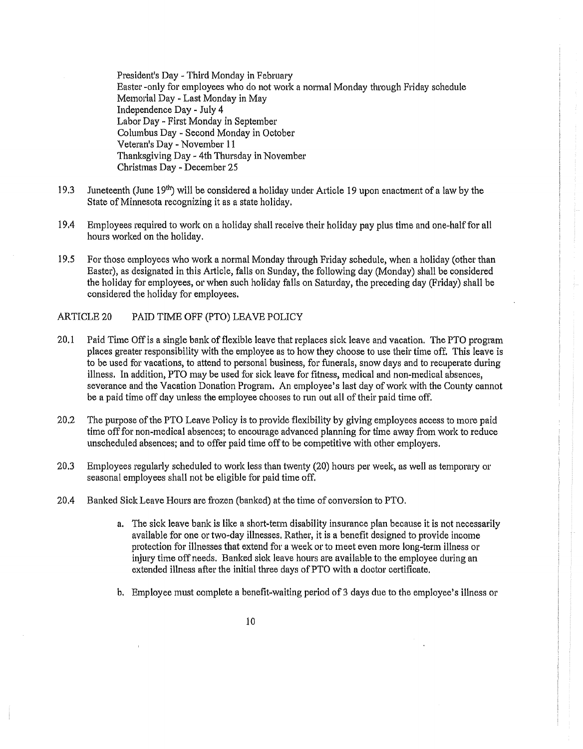President's Day - Third Monday in February Easter -only for employees who do not work a normal Monday through Friday schedule Memorial Day - Last Monday in May Independence Day - July 4 Labor Day - First Monday in September Columbus Day - Second Monday in October Veteran's Day - November 11 Thanksgiving Day - 4th Thursday in November Christmas Day - December 25

- 19.3 Juneteenth (June 19<sup>th</sup>) will be considered a holiday under Article 19 upon enactment of a law by the State of Minnesota recognizing it as a state holiday,
- 19.4 Employees required to work on a holiday shall receive their holiday pay plus time and one-half for all hours worked on the holiday,
- 19.5 For those employees who work a normal Monday through Friday schedule, when a holiday (other than Easter), as designated in this Article, falls on Sunday, the following day (Monday) shall be considered the holiday for employees, or when such holiday falls on Saturday, the preceding day (Friday) shall be considered the holiday for employees,

#### ARTICLE 20 PAID TIME OFF (PTO) LEAVE POLICY

- 20.1 Paid Time Off is a single bank of flexible leave that replaces sick leave and vacation. The PTO program places greater responsibility with the employee as to how they choose to use their time off, This leave is to be used for vacations, to attend to personal business, for funerals, snow days and to recuperate during illness, In addition, PTO may be used for sick leave for fitness, medical and non-medical absences, severance and the Vacation Donation Program. An employee's last day of work with the County cannot be a paid time off day unless the employee chooses to run out all of their paid time off.
- 20.2 The purpose of the PTO Leave Policy is to provide flexibility by giving employees access to more paid time off for non-medical absences; to encourage advanced planning for time away from work to reduce unscheduled absences; and to offer paid time off to be competitive with other employers,
- 20.3 Employees regularly scheduled to work less than twenty (20) hours per week, as well as temporary 01· seasonal employees shall not be eligible for paid time off,
- 20.4 Banked Sick Leave Hours are frozen (banked) at the time of conversion to PTO.
	- a. The sick leave bank is like a short-term disability insurance plan because it is not necessarily available for one or two-day illnesses, Rather, it is a benefit designed to provide income protection for illnesses that extend for a week or to meet even more long-term illness or injury time off needs. Banked sick leave hours are available to the employee during an extended illness after the initial three days of PTO with a doctor certificate.
	- b, Employee must complete a benefit-waiting period of 3 days due to the employee's illness or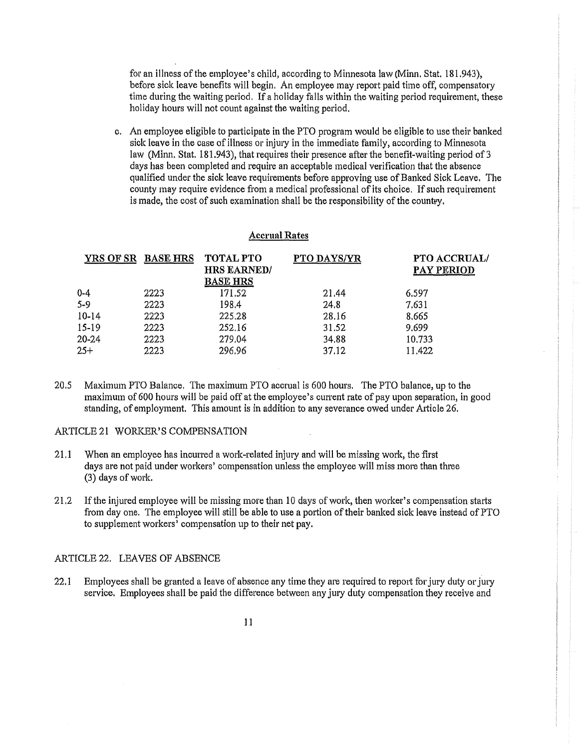for an illness of the employee's child, according to Minnesota law (Minn. Stat. 181.943), before sick leave benefits will begin. An employee may report paid time off, compensatory time during the waiting period. If a holiday falls within the waiting period requirement, these holiday hours will not count against the waiting period.

c. An employee eligible to participate in the PTO program would be eligible to use their banked sick leave in the case of illness or injury in the immediate family, according to Minnesota law (Minn. Stat. 181.943), that requires their presence after the benefit-waiting period of 3 days has been completed and require an acceptable medical verification that the absence qualified under the sick leave requirements before approving use of Banked Sick Leave. The county may require evidence from a medical professional of its choice, If such requirement is made, the cost of such examination shall be the responsibility of the countey.

#### **Accrual Rates**

| YRS OF SR BASE HRS |      | <b>TOTAL PTO</b><br><b>HRS EARNED/</b><br><b>BASE HRS</b> | PTO DAYS/YR | PTO ACCRUAL/<br>PAY PERIOD |
|--------------------|------|-----------------------------------------------------------|-------------|----------------------------|
| $0 - 4$            | 2223 | 171.52                                                    | 21.44       | 6.597                      |
| $5 - 9$            | 2223 | 198.4                                                     | 24.8        | 7.631                      |
| $10 - 14$          | 2223 | 225,28                                                    | 28.16       | 8.665                      |
| 15-19              | 2223 | 252.16                                                    | 31.52       | 9.699                      |
| 20-24              | 2223 | 279.04                                                    | 34.88       | 10,733                     |
| $25 +$             | 2223 | 296.96                                                    | 37.12       | 11.422                     |

20.5 Maximum PTO Balance. The maximum PTO accrual is 600 hours. The PTO balance, up to the maximum of 600 hours will be paid off at the employee's cunent rate of pay upon separation, in good standing, of employment. This amount is in addition to any severance owed under Atticle 26.

#### ARTICLE 21 WORKER'S COMPENSATION

- 21.1 When an employee has incurred a work-related injury and will be missing work, the first days are not paid under workers' compensation unless the employee will miss more than three (3) days of work.
- 21.2 If the injured employee will be missing more than 10 days of work, then worker's compensation starts from day one. The employee will still be able to use a portion of their banked sick leave instead of PTO to supplement workers' compensation up to their net pay.

#### ARTICLE 22. LEAVES OF ABSENCE

22.1 Employees shall be granted a leave of absence any time they are required to report for jury duty or jury service, Employees shall be paid the difference between any jury duty compensation they receive and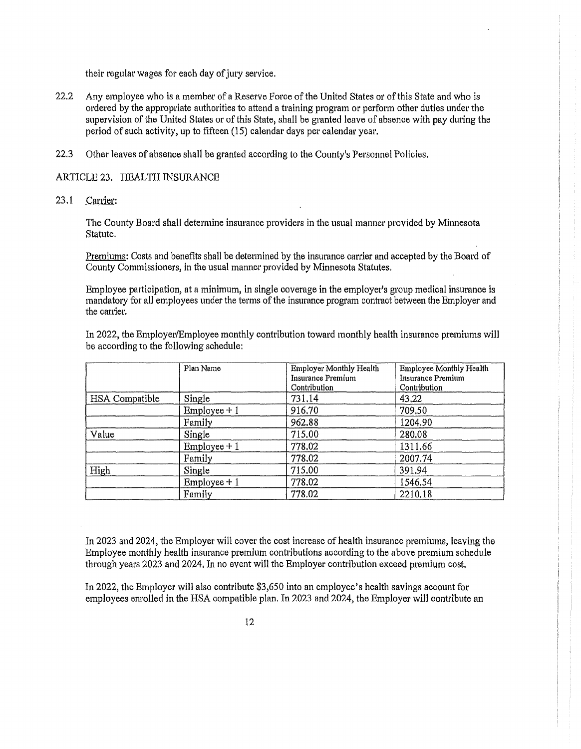their regular wages for each day of jury service.

- 22.2 Any employee who is a member of a Reserve Force of the United States or of this State and who is ordered by the appropriate authorities to attend a training program or perform other duties under the supervision of the United States or of this State, shall be granted leave of absence with pay during the period of such activity, up to fifteen (15) calendar days per calendar year.
- 22.3 Other leaves of absence shall be granted according to the County's Personnel Policies.

#### ARTICLE 23. HEALTH INSURANCE

23 **.1** Carrier:

The County Board shall determine insurance providers in the usual manner provided by Minnesota Statute.

Premiums: Costs and benefits shall be determined by the insurance carrier and accepted by the Board of County Commissioners, in the usual manner provided by Minnesota Statutes.

Employee participation, at a minimum, in single coverage **in** the employer's group medical insurance is mandatory for all employees under the terms of the insurance program contract between the Employer and the carrier.

In 2022, the Employer/Employee monthly contribution toward monthly health insurance premiums will be according to the following schedule:

|                | Plan Name      | Employer Monthly Health<br>Insurance Premium<br>Contribution | <b>Employee Monthly Health</b><br>Insurance Premium<br>Contribution |
|----------------|----------------|--------------------------------------------------------------|---------------------------------------------------------------------|
| HSA Compatible | Single         | 731.14                                                       | 43,22                                                               |
|                | $Employee + 1$ | 916.70                                                       | 709.50                                                              |
|                | Family         | 962.88                                                       | 1204.90                                                             |
| Value          | Single         | 715.00                                                       | 280.08                                                              |
|                | $Emplovec + 1$ | 778,02                                                       | 1311.66                                                             |
|                | Family         | 778.02                                                       | 2007.74                                                             |
| High           | Single         | 715.00                                                       | 391.94                                                              |
|                | $Employee + 1$ | 778.02                                                       | 1546.54                                                             |
|                | Family         | 778.02                                                       | 2210.18                                                             |

In 2023 and 2024, the Employer will cover the cost increase of health insurance premiums, leaving the Employee monthly health insurance premium contributions according to the above premium schedule through years 2023 and 2024. In no event will the Employer contribution exceed premium cost.

In 2022, the Employer will also contribute \$3,650 into an employee's health savings account for employees enrolled in the HSA compatible plan. In 2023 and 2024, the Employer will contribute an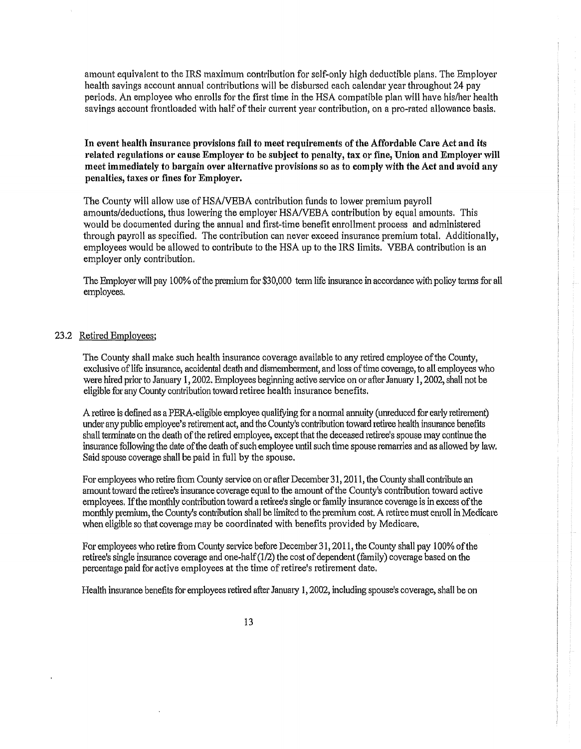amount equivalent to the IRS maximum contribution for self-only high deductible plans. The Employer health savings account annual contributions will be disbursed each calendar year throughout 24 pay periods. An employee who enrolls for the first time in the RSA compatible plan will have his/her health savings account frontloaded with half of their current year contribution, on a pro-rated allowance basis.

**In event health insurance provisions fail to meet requirements of the Affordable Care Act and its related regulations or cause Employer to be subject to penalty, tax or fine, Union and Employer will meet immediately to bargain over alternative provisions so as** to **comply with the Act and avoid any penalties, taxes or fines for Employer.** 

The County will allow use of HSA/VEBA contribution funds to lower premium payroll amounts/deductions, thus lowering the employer HSA/VEBA contribution by equal amounts. This would be documented during the annual and first-time benefit enrollment process and administered through payroll as specified. The contribution can never exceed insurance premium total. Additionally, employees would be allowed to contribute to the HSA up to the IRS limits. VEBA contribution is an employer only contribution.

The Employer will pay 100% of the premium for \$30,000 term life insurance in accordance with policy terms for all employees.

#### 23.2 Retired Employees;

The County shall make such health insurance coverage available to any retired employee of the County, exclusive of life insurance, accidental death and dismemberment, and loss of time coverage, to all employees who were hired prior to January 1, 2002. Employees beginning active service on or after January 1, 2002, shall not be eligible for any County contribution toward retiree health insurance benefits.

A retiree is defined as a PERA-eligible employee qualifying for a nonnal annuity ( unreduced for early retirement) under any public employee's retirement act, and the County's contribution toward retiree health insurance benefits shall terminate on the death of the retired employee, except that the deceased retiree's spouse may continue the insurance following the date of the death of such employee until such time spouse remarries and as allowed by law. Said spouse coverage shall be paid in full by the spouse.

For employees who retire from County service on or after December 31, 2011, the County shall contribute an amount toward the retiree's insurance coverage equal to the amount of the County's contribution toward active employees. If the monthly contribution toward a retiree's single or family insurance coverage is in excess of the monthly premium, the County's contribution shall be limited to the premium cost. A retiree must enroll in Medicare when eligible so that coverage may be coordinated with benefits provided by Medicare,

For employees who retire from County service before December 31, 2011, the County shall pay 100% of the retiree's single insurance coverage and one-half (1/2) the cost of dependent (family) coverage based on the percentage paid for active employees at the time of retiree's retirement date,

Health insurance benefits for employees retired after January 1, 2002, including spouse's coverage, shall be on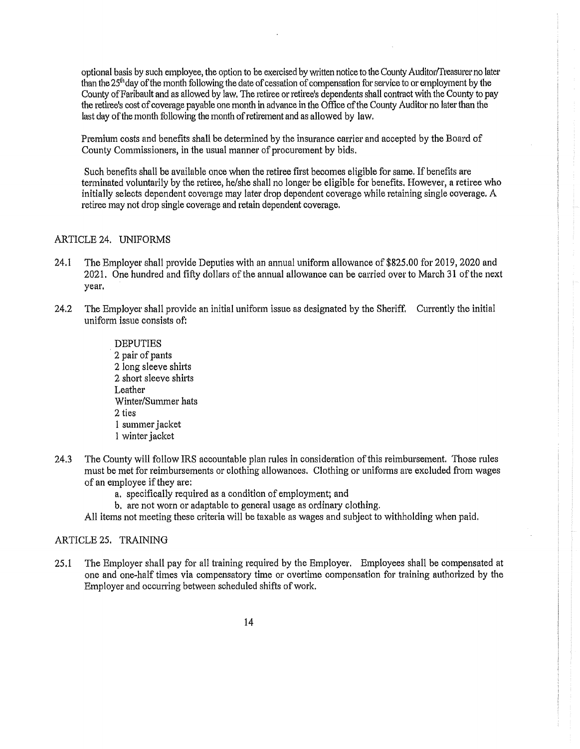optional basis by such employee, the option to be exercised by written notice to the County Auditor/Treasurer no later than the 25<sup>th</sup>day of the month following the date of cessation of compensation for service to or employment by the County of Faribault and as allowed by law. The retiree or retiree's dependents shall contract with the County to pay the retiree's cost of coverage payable one month in advance in the Office of the County Auditor no later than the last day of the month following the month of retirement and as allowed by law.

Premium costs and benefits shall be determined by the insurance carrier and accepted by the Board of County Commissioners, in the usual manner of procurement by bids.

Such benefits shall be available once when the retiree first becomes eligible for same, If benefits are terminated voluntarily by the retiree, he/she shall no longer be eligible for benefits. However, a retiree who initially selects dependent coverage may later drop dependent coverage while retaining single coverage, A retiree may not drop single coverage and retain dependent coverage,

#### ARTICLE 24. UNIFORMS

- 24.1 The Employer shall provide Deputies with an annual uniform allowance of \$825.00 for 2019, 2020 and 2021. One hundred and fifty dollars of the annual allowance can be carried over to March 31 of the next year.
- 24.2 The Employer shall provide an initial uniform issue as designated by the Sheriff, Currently the initial uniform issue consists of:
	- DEPUTIES · 2 pair of pants 2 long sleeve shirts 2 short sleeve shirts Leather Winter/Summer hats 2 ties I summer jacket I winter jacket
- 24.3 The County will follow IRS accountable plan rules in consideration of this reimbursement. Those rules must be met for reimbursements or clothing allowances. Clothing or uniforms are excluded from wages of an employee if they are:
	- a, specifically required as a condition of employment; and
	- b, are not worn or adaptable to general usage as ordinary clothing.
	- All items not meeting these criteria will be taxable as wages and subject to withholding when paid.

#### ARTICLE 25. TRAINING

25.1 The Employer shall pay for all training required by the Employer. Employees shall be compensated at one and one"half times via compensatory time or overtime compensation for training authorized by the Employer and occurring between scheduled shifts of work.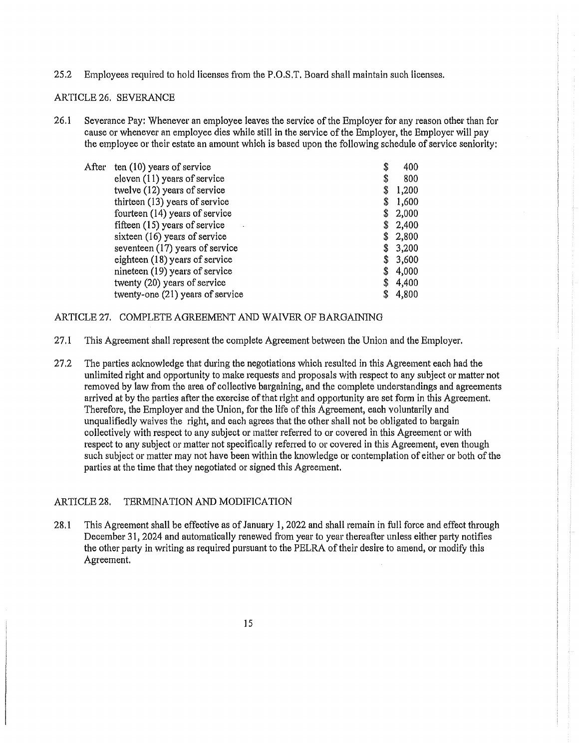25.2 Employees required to hold licenses from the P.O.S.T. Board shall maintain such licenses.

## ARTICLE 26. SEVERANCE

26.1 Severance Pay: Whenever an employee leaves the service of the Employer for any reason other than for cause or whenever an employee dies while still in the service of the Employer, the Employer will pay the employee or their estate an amount which is based upon the following schedule of service seniority:

| ten (10) years of service        | \$<br>400   |
|----------------------------------|-------------|
| eleven $(11)$ years of service   | \$<br>800   |
| twelve (12) years of service     | \$<br>1,200 |
| thirteen (13) years of service   | \$<br>1,600 |
| fourteen (14) years of service   | \$<br>2,000 |
| fifteen (15) years of service    | \$<br>2,400 |
| sixteen (16) years of service    | \$<br>2,800 |
| seventeen (17) years of service  | \$<br>3,200 |
| eighteen (18) years of service   | \$<br>3,600 |
| nineteen (19) years of service   | \$<br>4,000 |
| twenty (20) years of service     | \$<br>4,400 |
| twenty-one (21) years of service | \$<br>4,800 |
|                                  |             |

#### ARTICLE 27. COMPLETE AGREEMENT AND WAIVER OF BARGAINING

- 27.1 This Agreement shall represent the complete Agreement between the Union and the Employer.
- 27.2 The parties aclrnowledge that during the negotiations which resulted in this Agreement each had the unlimited right and opportunity to make requests and proposals with respect to any subject or matter not removed by law from the area of collective bargaining, and the complete understandings and agreements arrived at by the parties after the exercise of that right and opportunity are set form in this Agreement. Therefore, the Employer and the Union, for the life of this Agreement, each voluntarily and unqualifiedly waives the right, and each agrees that the other shall not be obligated to bargain collectively with respect to any subject or matter referred to or covered in this Agreement or with respect to any subject or matter not specifically referred to or covered in this Agreement, even though such subject or matter may not have been within the knowledge or contemplation of either or both of the parties at the time that they negotiated or signed this Agreement.

#### ARTICLE 28. TERMINATION AND MODIFICATION

28.1 This Agreement shall be effective as of January 1, 2022 and shall remain in full force and effect through December 31, 2024 and automatically renewed from year to year thereafter unless either party notifies the other party in writing as required pursuant to the PELRA of their desire to amend, or modify this Agreement.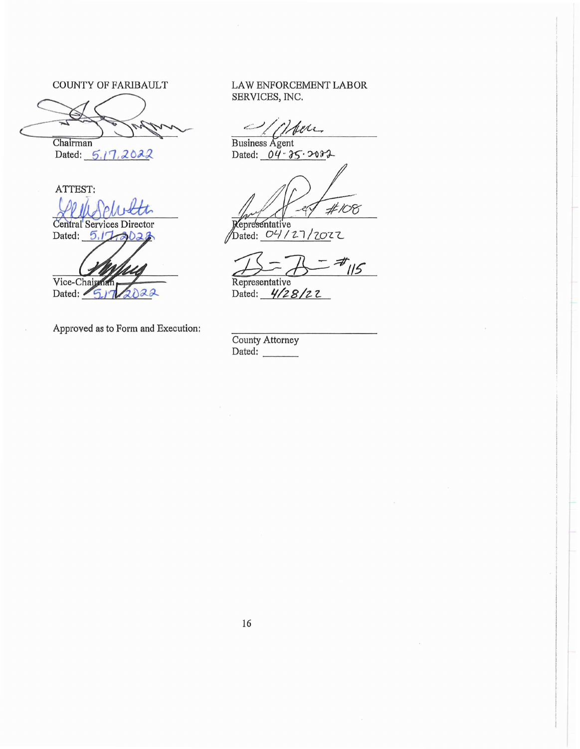COUNTY OF FARIBAULT

COUNTY OF FARIBAULT<br>
SERVICES,<br>
Chairman<br>
Dated: 5.17.2022<br>
Dated: 04

Dated: 5.17, 2022

ATTEST: Central Services Director

Dated: 5,17 al

Vice-Chairman Dated:  $\sqrt{5}r$  $2022$ 

Approved as to Form and Execution:

LAW ENFORCEMENT LABOR SERVICES, INC.

ber.

Business Agent Dated: 04 . 35. 2002

 $#108$ 

Representative<br>Dated: 04/27/2022

 $75 - 75$   $\frac{4}{15}$ 

Dated: *4/28/22* 

County Attorney Dated: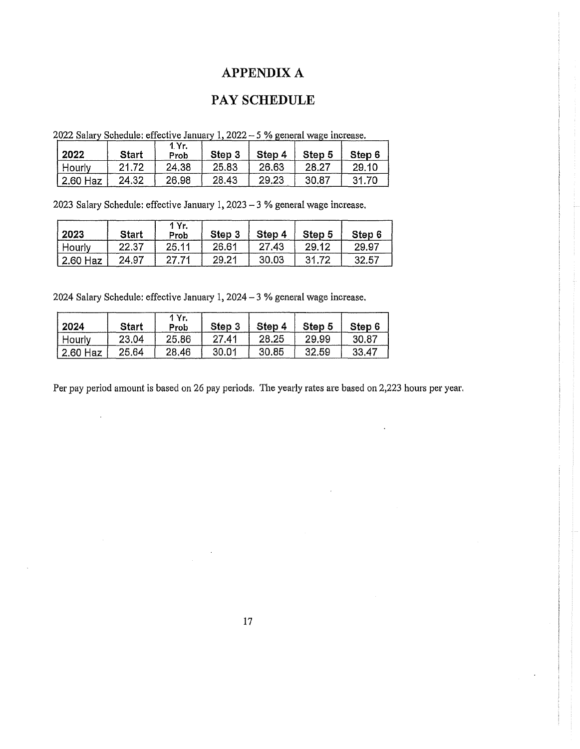## APPENDIX A

## PAY SCHEDULE

| 2022          | <b>Start</b> | 1 Yr.<br>Prob | Step 3 | Step 4 | Step 5 | Step 6 |
|---------------|--------------|---------------|--------|--------|--------|--------|
| <b>Hourly</b> | 21.72        | 24.38         | 25.83  | 26.63  | 28.27  | 29.10  |
| 2.60 Haz      | 24.32        | 26.98         | 28.43  | 29.23  | 30.87  | 31.70  |

2022 Salary Schedule: effective January 1, 2022  $-5$  % general wage increase.

2023 Salary Schedule: effective January 1, Z023 -3 % general wage increase,

| 2023     | <b>Start</b> | 1 Yr.<br>Prob | Step 3 | Step  | Step 5 | Step 6 |
|----------|--------------|---------------|--------|-------|--------|--------|
| Hourly   | 22.37        | 25,11         | 26.61  | 27,43 | 29.12  | 29.97  |
| 2.60 Haz | 24.97        | 27.71         | 29.21  | 30.03 | 31.72  | 32.57  |

2024 Salary Schedule: effective January 1, 2024- 3 % general wage increase,

| 2024     | Start | 1 Yr.<br>Prob | Step 3 | Step 4 | Step 5 | Step 6 |
|----------|-------|---------------|--------|--------|--------|--------|
| Hourly   | 23.04 | 25,86         | 27.41  | 28.25  | 29,99  | 30.87  |
| 2.60 Haz | 25.64 | 28,46         | 30.01  | 30.85  | 32.59  | 33.47  |

Per pay period amount is based on 26 pay periods. The yearly rates are based on 2,223 hours per year.